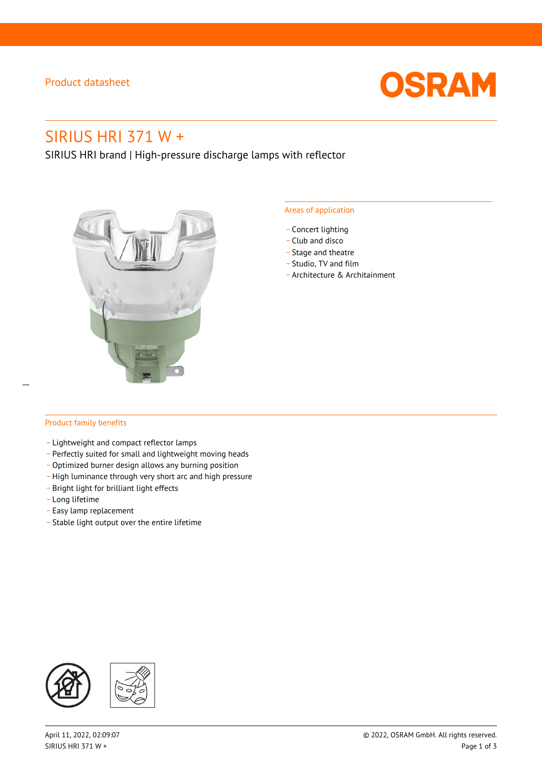# Product datasheet



# SIRIUS HRI 371 W +

SIRIUS HRI brand | High-pressure discharge lamps with reflector



#### Areas of application

- Concert lighting
- \_ Club and disco
- Stage and theatre
- \_ Studio, TV and film
- \_ Architecture & Architainment

### Product family benefits

- \_ Lightweight and compact reflector lamps
- \_ Perfectly suited for small and lightweight moving heads
- Optimized burner design allows any burning position
- High luminance through very short arc and high pressure
- \_ Bright light for brilliant light effects
- \_ Long lifetime
- \_ Easy lamp replacement
- \_ Stable light output over the entire lifetime

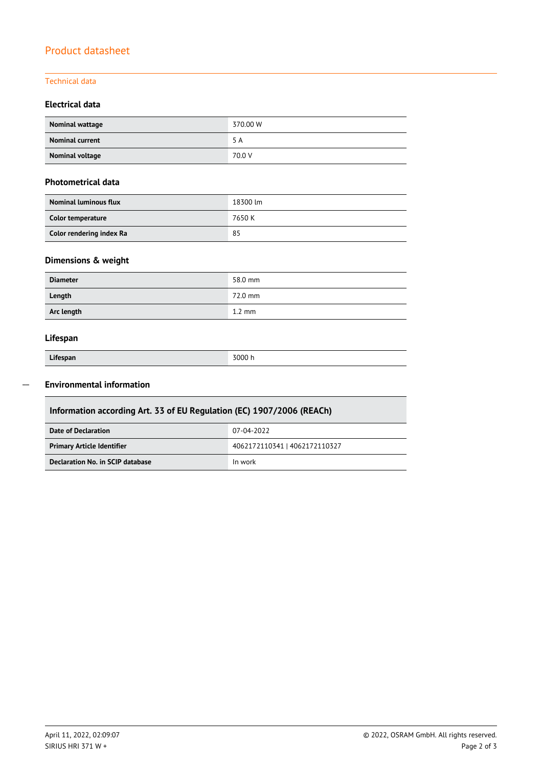# Product datasheet

# Technical data

### **Electrical data**

| Nominal wattage        | 370.00 W |
|------------------------|----------|
| <b>Nominal current</b> | 5 A      |
| Nominal voltage        | 70.0 V   |

#### **Photometrical data**

| <b>Nominal luminous flux</b> | 18300 lm |  |
|------------------------------|----------|--|
| Color temperature            | 7650 K   |  |
| Color rendering index Ra     | 85       |  |

# **Dimensions & weight**

| <b>Diameter</b> | 58.0 mm          |
|-----------------|------------------|
| Length          | 72.0 mm          |
| Arc length      | $1.2 \text{ mm}$ |

### **Lifespan**

|  |  | Lifespan |  |
|--|--|----------|--|

Γ

 $\overline{a}$ 

**Lifespan** 3000 h

# **Environmental information**

| Information according Art. 33 of EU Regulation (EC) 1907/2006 (REACh) |                               |  |  |
|-----------------------------------------------------------------------|-------------------------------|--|--|
| Date of Declaration                                                   | 07-04-2022                    |  |  |
| <b>Primary Article Identifier</b>                                     | 4062172110341   4062172110327 |  |  |
| Declaration No. in SCIP database                                      | In work                       |  |  |